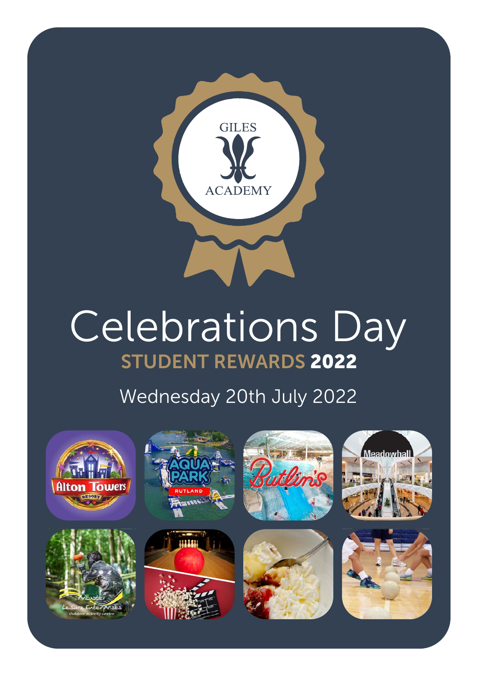

# STUDENT REWARDS 2022 Celebrations Day

# Wednesday 20th July 2022

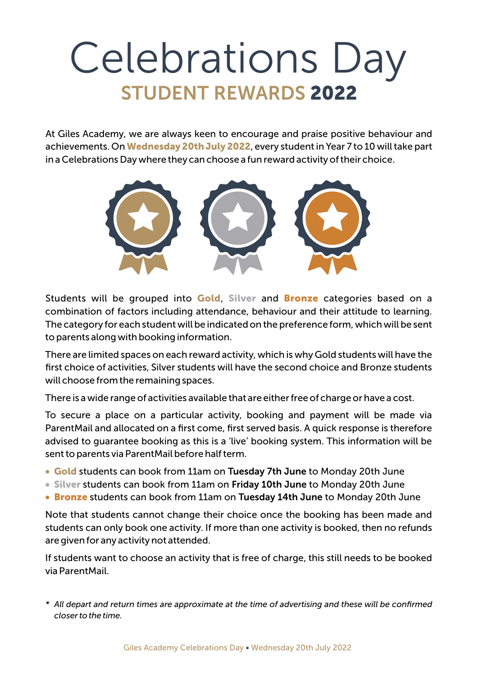# Celebrations Day STUDENT REWARDS 2022

At Giles Academy, we are always keen to encourage and praise positive behaviour and achievements. On Wednesday 20th July 2022, every student in Year 7 to 10 will take part in a Celebrations Day where they can choose a fun reward activity of their choice.



Students will be grouped into Gold, Silver and Bronze categories based on a combination of factors including attendance, behaviour and their attitude to learning. The category for each student will be indicated on the preference form, which will be sent to parents along with booking information.

There are limited spaces on each reward activity, which is why Gold students will have the first choice of activities, Silver students will have the second choice and Bronze students will choose from the remaining spaces.

There is a wide range of activities available that are either free of charge or have a cost.

To secure a place on a particular activity, booking and payment will be made via ParentMail and allocated on a first come, first served basis. A quick response is therefore advised to guarantee booking as this is a 'live' booking system. This information will be sent to parents via ParentMail before half term.

- Gold students can book from 11am on Tuesday 7th June to Monday 20th June
- Silver students can book from 11am on Friday 10th June to Monday 20th June
- Bronze students can book from 11am on Tuesday 14th June to Monday 20th June

Note that students cannot change their choice once the booking has been made and students can only book one activity. If more than one activity is booked, then no refunds are given for any activity not attended.

If students want to choose an activity that is free of charge, this still needs to be booked via ParentMail.

*\* All depart and return times are approximate at the time of advertising and these will be confirmed closer to the time.*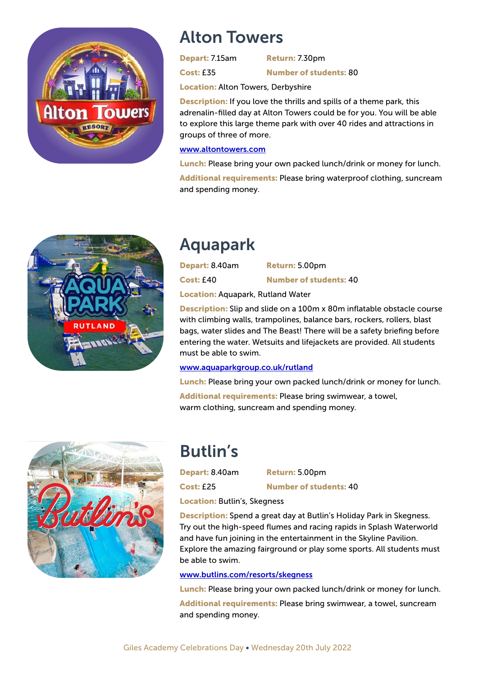

#### Alton Towers

Depart: 7.15am Return: 7.30pm

Cost: £35 Number of students: 80

Location: Alton Towers, Derbyshire

**Description:** If you love the thrills and spills of a theme park, this adrenalin-filled day at Alton Towers could be for you. You will be able to explore this large theme park with over 40 rides and attractions in groups of three of more.

#### www.altontowers.com

Lunch: Please bring your own packed lunch/drink or money for lunch.

Additional requirements: Please bring waterproof clothing, suncream and spending money.



### Aquapark

| Depart: 8.40am                   | Return: 5.00pm                |
|----------------------------------|-------------------------------|
| <b>Cost: £40</b>                 | <b>Number of students: 40</b> |
| Lessiant Aquapark, Dutland Water |                               |

Location: Aquapark, Rutland Water

**Description:** Slip and slide on a 100m x 80m inflatable obstacle course with climbing walls, trampolines, balance bars, rockers, rollers, blast bags, water slides and The Beast! There will be a safety briefing before entering the water. Wetsuits and lifejackets are provided. All students must be able to swim.

#### www.aquaparkgroup.co.uk/rutland

Lunch: Please bring your own packed lunch/drink or money for lunch. Additional requirements: Please bring swimwear, a towel, warm clothing, suncream and spending money.



## Butlin's

Depart: 8.40am Return: 5.00pm

Cost: £25 Number of students: 40

Location: Butlin's, Skegness

**Description:** Spend a great day at Butlin's Holiday Park in Skegness. Try out the high-speed flumes and racing rapids in Splash Waterworld and have fun joining in the entertainment in the Skyline Pavilion. Explore the amazing fairground or play some sports. All students must be able to swim.

#### www.butlins.com/resorts/skegness

Lunch: Please bring your own packed lunch/drink or money for lunch.

Additional requirements: Please bring swimwear, a towel, suncream and spending money.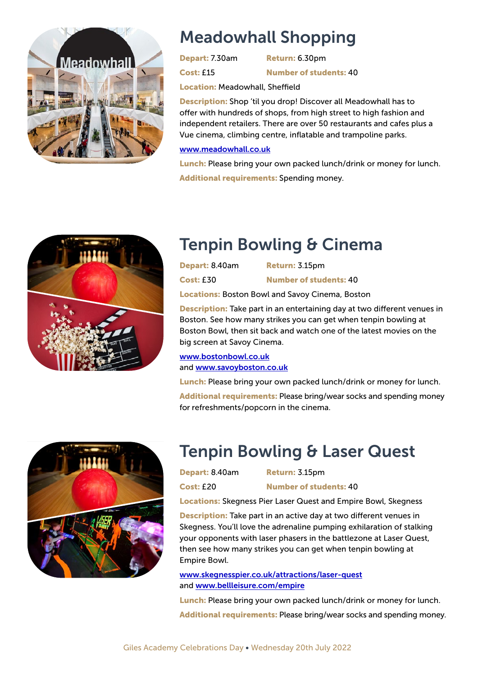

### Meadowhall Shopping

Depart: 7.30am Return: 6.30pm

Cost: £15 Number of students: 40

Location: Meadowhall, Sheffield

Description: Shop 'til you drop! Discover all Meadowhall has to offer with hundreds of shops, from high street to high fashion and independent retailers. There are over 50 restaurants and cafes plus a Vue cinema, climbing centre, inflatable and trampoline parks.

#### www.meadowhall.co.uk

Lunch: Please bring your own packed lunch/drink or money for lunch. Additional requirements: Spending money.



### Tenpin Bowling & Cinema

| Depart: 8.40am   | <b>Return: 3.15pm</b>         |
|------------------|-------------------------------|
| <b>Cost: £30</b> | <b>Number of students: 40</b> |
|                  |                               |

Locations: Boston Bowl and Savoy Cinema, Boston

Description: Take part in an entertaining day at two different venues in Boston. See how many strikes you can get when tenpin bowling at Boston Bowl, then sit back and watch one of the latest movies on the big screen at Savoy Cinema.

www.bostonbowl.co.uk and www.savoyboston.co.uk

Lunch: Please bring your own packed lunch/drink or money for lunch. Additional requirements: Please bring/wear socks and spending money for refreshments/popcorn in the cinema.



## Tenpin Bowling & Laser Quest

Depart: 8.40am Return: 3.15pm

Cost: £20 Number of students: 40

Locations: Skegness Pier Laser Quest and Empire Bowl, Skegness

**Description:** Take part in an active day at two different venues in Skegness. You'll love the adrenaline pumping exhilaration of stalking your opponents with laser phasers in the battlezone at Laser Quest, then see how many strikes you can get when tenpin bowling at Empire Bowl.

www.skegnesspier.co.uk/attractions/laser-quest and www.bellleisure.com/empire

**Lunch:** Please bring your own packed lunch/drink or money for lunch. Additional requirements: Please bring/wear socks and spending money.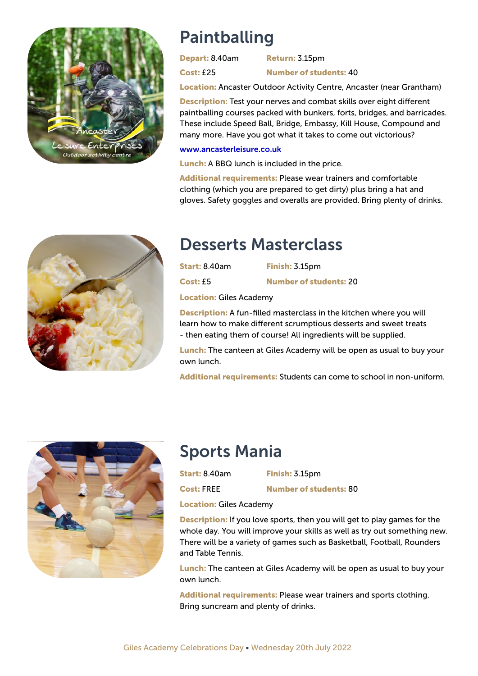

### Paintballing

Depart: 8.40am Return: 3.15pm

Cost: £25 Number of students: 40

Location: Ancaster Outdoor Activity Centre, Ancaster (near Grantham)

**Description:** Test your nerves and combat skills over eight different paintballing courses packed with bunkers, forts, bridges, and barricades. These include Speed Ball, Bridge, Embassy, Kill House, Compound and many more. Have you got what it takes to come out victorious?

#### www.ancasterleisure.co.uk

Lunch: A BBQ lunch is included in the price.

Additional requirements: Please wear trainers and comfortable clothing (which you are prepared to get dirty) plus bring a hat and gloves. Safety goggles and overalls are provided. Bring plenty of drinks.



#### Desserts Masterclass

| <b>Start: 8.40am</b> | Finish: 3.15pm                |
|----------------------|-------------------------------|
| Cost: £5             | <b>Number of students: 20</b> |

Location: Giles Academy

**Description:** A fun-filled masterclass in the kitchen where you will learn how to make different scrumptious desserts and sweet treats - then eating them of course! All ingredients will be supplied.

Lunch: The canteen at Giles Academy will be open as usual to buy your own lunch.

Additional requirements: Students can come to school in non-uniform.



### Sports Mania

Start: 8.40am Finish: 3.15pm

Cost: FREE Number of students: 80

Location: Giles Academy

**Description:** If you love sports, then you will get to play games for the whole day. You will improve your skills as well as try out something new. There will be a variety of games such as Basketball, Football, Rounders and Table Tennis.

Lunch: The canteen at Giles Academy will be open as usual to buy your own lunch.

Additional requirements: Please wear trainers and sports clothing. Bring suncream and plenty of drinks.